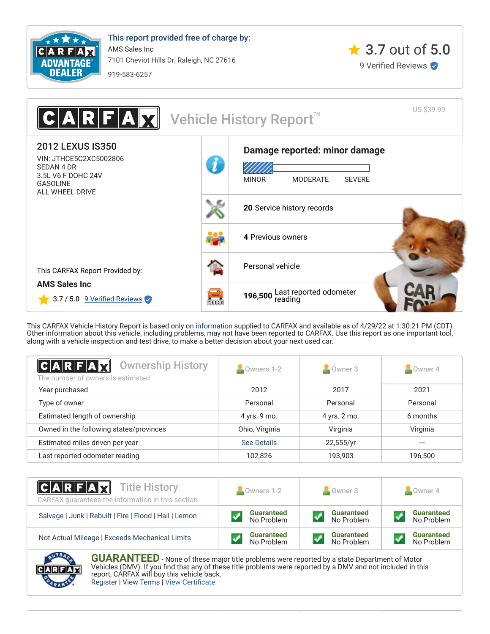

This report provided free of charge by: AMS Sales Inc 7101 Cheviot Hills Dr, Raleigh, NC 27616 919-583-6257



US \$39.99 IR Vehicle History Report<sup>™</sup> 2012 LEXUS IS350 **[Damage reported: minor damage](#page-0-0)** VIN: JTHCE5C2XC5002806 Л SEDAN 4 DR 3.5L V6 F DOHC 24V MINOR MODERATE SEVERE GASOLINE ALL WHEEL DRIVE **20** [Service history records](#page-1-0) **4** [Previous owners](#page-0-1) [Personal vehicle](#page-0-1) This CARFAX Report Provided by: **AMS Sales Inc** 196,500 [Last reported odometer](#page-1-0)  $3.7 / 5.0$  9 Verified Reviews **Fisicia** 

This CARFAX Vehicle History Report is based only on [information](http://www.carfax.com/company/vhr-data-sources) supplied to CARFAX and available as of 4/29/22 at 1:30:21 PM (CDT). Other information about this vehicle, including problems, may not have been reported to CARFAX. Use this report as one important tool, along with a vehicle inspection and test drive, to make a better decision about your next used car.

<span id="page-0-1"></span>

| $ {\bf C} {\bf A} {\bf R} {\bf F} {\bf A}$ ${\bf M}$<br><b>Ownership History</b><br>The number of owners is estimated | Owners 1-2         | $\sim$ Owner 3 | $\sim$ Owner 4 |
|-----------------------------------------------------------------------------------------------------------------------|--------------------|----------------|----------------|
| Year purchased                                                                                                        | 2012               | 2017           | 2021           |
| Type of owner                                                                                                         | Personal           | Personal       | Personal       |
| Estimated length of ownership                                                                                         | 4 yrs. 9 mo.       | 4 yrs. 2 mo.   | 6 months       |
| Owned in the following states/provinces                                                                               | Ohio, Virginia     | Virginia       | Virginia       |
| Estimated miles driven per year                                                                                       | <b>See Details</b> | 22,555/yr      |                |
| Last reported odometer reading                                                                                        | 102.826            | 193,903        | 196.500        |

| $ C A R F A \overline{X}$ Title History<br>CARFAX quarantees the information in this section | Owners 1-2        | Owner 3           | Owner 4           |  |
|----------------------------------------------------------------------------------------------|-------------------|-------------------|-------------------|--|
| Salvage   Junk   Rebuilt   Fire   Flood   Hail   Lemon                                       | <b>Guaranteed</b> | <b>Guaranteed</b> | <b>Guaranteed</b> |  |
|                                                                                              | No Problem        | No Problem        | No Problem        |  |
| Not Actual Mileage   Exceeds Mechanical Limits                                               | <b>Guaranteed</b> | <b>Guaranteed</b> | <b>Guaranteed</b> |  |
|                                                                                              | No Problem        | No Problem        | No Problem        |  |

<span id="page-0-0"></span>

**GUARANTEED** - None of these major title problems were reported by a state Department of Motor Vehicles (DMV). If you find that any of these title problems were reported by a DMV and not included in this report, CARFAX will buy this vehicle back. [Register](https://www.carfax.com/Service/bbg) | [View Terms](http://www.carfaxonline.com/legal/bbgTerms) | [View Certificate](https://www.carfaxonline.com/vhrs/JTHCE5C2XC5002806)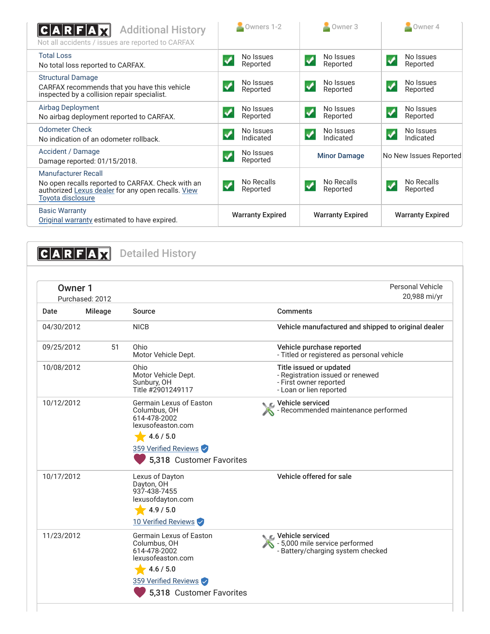| <b>Additional History</b><br>C A R F A<br>Not all accidents / issues are reported to CARFAX                                                                | Owners 1-2              | $\sim$ Owner 3                                   | $\sim$ Owner 4                                      |
|------------------------------------------------------------------------------------------------------------------------------------------------------------|-------------------------|--------------------------------------------------|-----------------------------------------------------|
| <b>Total Loss</b><br>No total loss reported to CARFAX.                                                                                                     | No Issues<br>Reported   | No Issues<br>$\overline{\mathbf{v}}$<br>Reported | No Issues<br>$\boldsymbol{\mathcal{S}}$<br>Reported |
| <b>Structural Damage</b><br>CARFAX recommends that you have this vehicle<br>inspected by a collision repair specialist.                                    | No Issues<br>Reported   | No Issues<br>✔<br>Reported                       | No Issues<br>✔<br>Reported                          |
| <b>Airbag Deployment</b><br>No airbag deployment reported to CARFAX.                                                                                       | No Issues<br>Reported   | No Issues<br>Reported                            | No Issues<br>$\boldsymbol{\mathcal{N}}$<br>Reported |
| <b>Odometer Check</b><br>No indication of an odometer rollback.                                                                                            | No Issues<br>Indicated  | No Issues<br>✔<br>Indicated                      | No Issues<br>$\blacktriangledown$<br>Indicated      |
| Accident / Damage<br>Damage reported: 01/15/2018.                                                                                                          | No Issues<br>Reported   | <b>Minor Damage</b>                              | No New Issues Reported                              |
| Manufacturer Recall<br>No open recalls reported to CARFAX. Check with an<br>authorized Lexus dealer for any open recalls. View<br><b>Toyota disclosure</b> | No Recalls<br>Reported  | No Recalls<br>Reported                           | No Recalls<br>$\checkmark$<br>Reported              |
| <b>Basic Warranty</b><br>Original warranty estimated to have expired.                                                                                      | <b>Warranty Expired</b> | <b>Warranty Expired</b>                          | <b>Warranty Expired</b>                             |

<span id="page-1-1"></span><span id="page-1-0"></span>**CARFAX** Detailed History Personal Vehicle Owner 1 20,988 mi/yr Purchased: 2012 Date Mileage Source **Comments** 04/30/2012 NICB Vehicle manufactured and shipped to original dealer 09/25/2012 51 Ohio Vehicle purchase reported Motor Vehicle Dept. - Titled or registered as personal vehicle 10/08/2012 Ohio Title issued or updated Motor Vehicle Dept. - Registration issued or renewed Sunbury, OH - First owner reported Title #2901249117 - Loan or lien reported Vehicle serviced 10/12/2012 Germain Lexus of Easton Columbus, OH - Recommended maintenance performed A 614-478-2002 lexusofeaston.com  $4.6 / 5.0$ 359 Verified Reviews 5,318 Customer Favorites Vehicle offered for sale 10/17/2012 Lexus of Dayton Dayton, OH 937-438-7455 lexusofdayton.com  $4.9 / 5.0$ 10 Verified Reviews

11/23/2012 Germain Lexus of Easton Columbus, OH 614-478-2002 lexusofeaston.com  $4.6 / 5.0$ 359 Verified Reviews Vehicle serviced - 5,000 mile service performed - Battery/charging system checked 5,318 Customer Favorites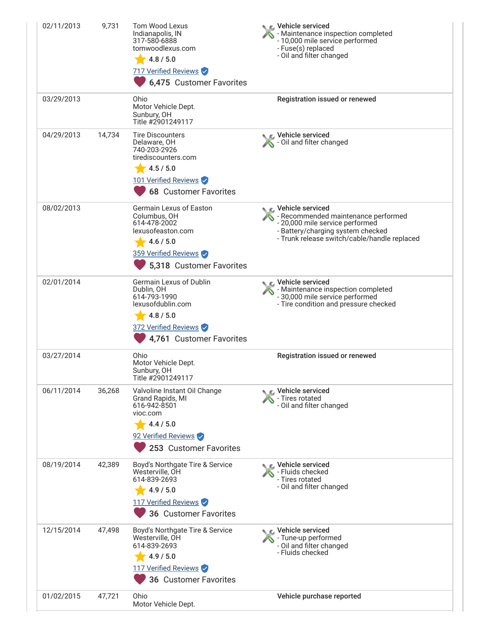| 02/11/2013 | 9,731  | <b>Tom Wood Lexus</b><br>Indianapolis, IN<br>317-580-6888<br>tomwoodlexus.com<br>4.8 / 5.0<br>717 Verified Reviews<br>6,475 Customer Favorites      | r⊾ Vehicle serviced<br>- Maintenance inspection completed<br>- 10,000 mile service performed<br>- Fuse(s) replaced<br>- Oil and filter changed                                  |
|------------|--------|-----------------------------------------------------------------------------------------------------------------------------------------------------|---------------------------------------------------------------------------------------------------------------------------------------------------------------------------------|
| 03/29/2013 |        | Ohio<br>Motor Vehicle Dept.<br>Sunbury, OH<br>Title #2901249117                                                                                     | Registration issued or renewed                                                                                                                                                  |
| 04/29/2013 | 14,734 | <b>Tire Discounters</b><br>Delaware, OH<br>740-203-2926<br>tirediscounters.com<br>4.5 / 5.0<br>101 Verified Reviews<br><b>68 Customer Favorites</b> | Vehicle serviced<br>- Oil and filter changed                                                                                                                                    |
| 08/02/2013 |        | Germain Lexus of Easton<br>Columbus, OH<br>614-478-2002<br>lexusofeaston.com<br>4.6 / 5.0<br>359 Verified Reviews<br>5,318 Customer Favorites       | Vehicle serviced<br>- Recommended maintenance performed<br>- 20,000 mile service performed<br>- Battery/charging system checked<br>- Trunk release switch/cable/handle replaced |
| 02/01/2014 |        | Germain Lexus of Dublin<br>Dublin, OH<br>614-793-1990<br>lexusofdublin.com<br>4.8 / 5.0<br>372 Verified Reviews<br>4,761 Customer Favorites         | Vehicle serviced<br>- Maintenance inspection completed<br>- 30,000 mile service performed<br>- Tire condition and pressure checked                                              |
| 03/27/2014 |        | Ohio<br>Motor Vehicle Dept.<br>Sunbury, OH<br>Title #2901249117                                                                                     | Registration issued or renewed                                                                                                                                                  |
| 06/11/2014 | 36,268 | Valvoline Instant Oil Change<br>Grand Rapids, MI<br>616-942-8501<br>vioc.com<br>4.4 / 5.0<br>92 Verified Reviews<br>253 Customer Favorites          | Vehicle serviced<br>- Tires rotated<br>- Oil and filter changed                                                                                                                 |
| 08/19/2014 | 42,389 | Boyd's Northgate Tire & Service<br>Westerville, OH<br>614-839-2693<br>4.9 / 5.0<br>117 Verified Reviews<br>36 Customer Favorites                    | $\epsilon$ Vehicle serviced<br>- Fluids checked<br>- Tires rotated<br>- Oil and filter changed                                                                                  |
| 12/15/2014 | 47,498 | Boyd's Northgate Tire & Service<br>Westerville, OH<br>614-839-2693<br>4.9 / 5.0<br>117 Verified Reviews<br>36 Customer Favorites                    | Vehicle serviced<br>- Tune-up performed<br>- Oil and filter changed<br>- Fluids checked                                                                                         |
| 01/02/2015 | 47,721 | Ohio<br>Motor Vehicle Dept.                                                                                                                         | Vehicle purchase reported                                                                                                                                                       |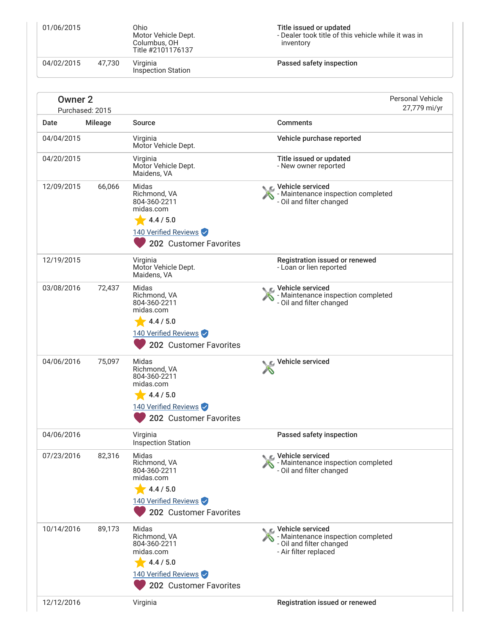| 01/06/2015         |                 | Ohio<br>Motor Vehicle Dept.<br>Columbus, OH<br>Title #2101176137                                                  | Title issued or updated<br>- Dealer took title of this vehicle while it was in<br>inventory                 |
|--------------------|-----------------|-------------------------------------------------------------------------------------------------------------------|-------------------------------------------------------------------------------------------------------------|
| 04/02/2015         | 47,730          | Virginia<br><b>Inspection Station</b>                                                                             | Passed safety inspection                                                                                    |
| Owner <sub>2</sub> | Purchased: 2015 |                                                                                                                   | <b>Personal Vehicle</b><br>27,779 mi/yr                                                                     |
| Date               | Mileage         | <b>Source</b>                                                                                                     | <b>Comments</b>                                                                                             |
| 04/04/2015         |                 | Virginia<br>Motor Vehicle Dept.                                                                                   | Vehicle purchase reported                                                                                   |
| 04/20/2015         |                 | Virginia<br>Motor Vehicle Dept.<br>Maidens, VA                                                                    | Title issued or updated<br>- New owner reported                                                             |
| 12/09/2015         | 66,066          | Midas<br>Richmond, VA<br>804-360-2211<br>midas.com<br>4.4 / 5.0<br>140 Verified Reviews<br>202 Customer Favorites | C Vehicle serviced<br>- Maintenance inspection completed<br>- Oil and filter changed                        |
| 12/19/2015         |                 | Virginia<br>Motor Vehicle Dept.<br>Maidens, VA                                                                    | Registration issued or renewed<br>- Loan or lien reported                                                   |
| 03/08/2016         | 72,437          | Midas<br>Richmond, VA<br>804-360-2211<br>midas.com<br>4.4 / 5.0<br>140 Verified Reviews<br>202 Customer Favorites | - Maintenance inspection completed<br>- Oil and filter changed                                              |
| 04/06/2016         | 75,097          | Midas<br>Richmond, VA<br>804-360-2211<br>midas.com<br>4.4 / 5.0<br>140 Verified Reviews<br>202 Customer Favorites | Vehicle serviced                                                                                            |
| 04/06/2016         |                 | Virginia<br><b>Inspection Station</b>                                                                             | Passed safety inspection                                                                                    |
| 07/23/2016         | 82,316          | Midas<br>Richmond, VA<br>804-360-2211<br>midas.com<br>4.4 / 5.0<br>140 Verified Reviews<br>202 Customer Favorites | Vehicle serviced<br>Maintenance inspection completed<br>- Oil and filter changed                            |
| 10/14/2016         | 89,173          | Midas<br>Richmond, VA<br>804-360-2211<br>midas.com<br>4.4 / 5.0<br>140 Verified Reviews<br>202 Customer Favorites | Vehicle serviced<br>- Maintenance inspection completed<br>- Oil and filter changed<br>- Air filter replaced |
| 12/12/2016         |                 | Virginia                                                                                                          | Registration issued or renewed                                                                              |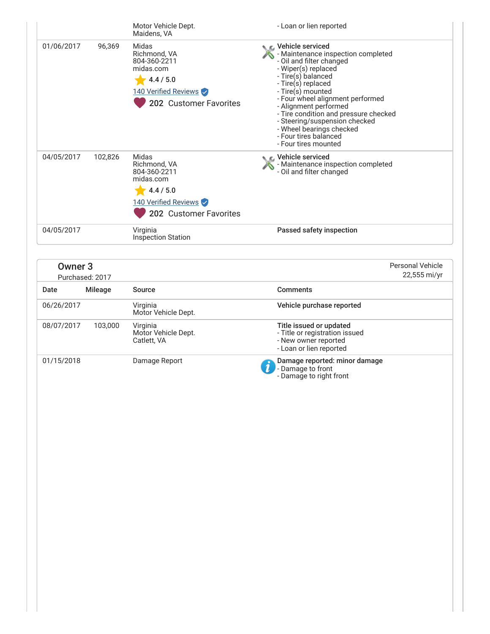|            |         | Motor Vehicle Dept.<br>Maidens, VA                                                                                | - Loan or lien reported                                                                                                                                                                                                                                                                                                                                                                          |
|------------|---------|-------------------------------------------------------------------------------------------------------------------|--------------------------------------------------------------------------------------------------------------------------------------------------------------------------------------------------------------------------------------------------------------------------------------------------------------------------------------------------------------------------------------------------|
| 01/06/2017 | 96,369  | Midas<br>Richmond, VA<br>804-360-2211<br>midas.com<br>4.4 / 5.0<br>140 Verified Reviews<br>202 Customer Favorites | L Vehicle serviced<br>- Maintenance inspection completed<br>- Oil and filter changed<br>- Wiper(s) replaced<br>- Tire(s) balanced<br>- Tire(s) replaced<br>- Tire(s) mounted<br>- Four wheel alignment performed<br>- Alignment performed<br>- Tire condition and pressure checked<br>- Steering/suspension checked<br>- Wheel bearings checked<br>- Four tires balanced<br>- Four tires mounted |
| 04/05/2017 | 102,826 | Midas<br>Richmond, VA<br>804-360-2211<br>midas.com<br>4.4 / 5.0<br>140 Verified Reviews<br>202 Customer Favorites | ic⊾ Vehicle serviced<br>- Maintenance inspection completed<br>- Oil and filter changed                                                                                                                                                                                                                                                                                                           |
| 04/05/2017 |         | Virginia<br><b>Inspection Station</b>                                                                             | Passed safety inspection                                                                                                                                                                                                                                                                                                                                                                         |

<span id="page-4-0"></span>

| Owner <sub>3</sub> |                 | <b>Personal Vehicle</b>                        |                                                                                                              |              |
|--------------------|-----------------|------------------------------------------------|--------------------------------------------------------------------------------------------------------------|--------------|
|                    | Purchased: 2017 |                                                |                                                                                                              | 22,555 mi/yr |
| Date               | Mileage         | Source                                         | <b>Comments</b>                                                                                              |              |
| 06/26/2017         |                 | Virginia<br>Motor Vehicle Dept.                | Vehicle purchase reported                                                                                    |              |
| 08/07/2017         | 103.000         | Virginia<br>Motor Vehicle Dept.<br>Catlett, VA | Title issued or updated<br>- Title or registration issued<br>- New owner reported<br>- Loan or lien reported |              |
| 01/15/2018         |                 | Damage Report                                  | Damage reported: minor damage<br>- Damage to front<br>- Damage to right front                                |              |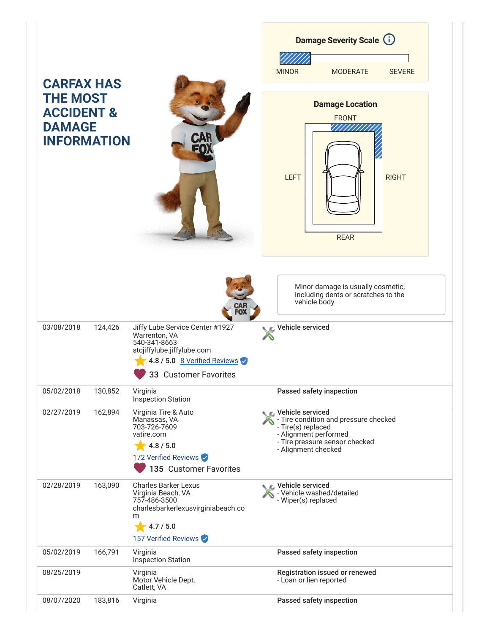|                                                                                                      |         |                                                                                                                                                         | <b>Damage Severity Scale (i)</b>                                                                                                                                           |
|------------------------------------------------------------------------------------------------------|---------|---------------------------------------------------------------------------------------------------------------------------------------------------------|----------------------------------------------------------------------------------------------------------------------------------------------------------------------------|
|                                                                                                      |         |                                                                                                                                                         | <b>MINOR</b><br><b>MODERATE</b><br><b>SEVERE</b>                                                                                                                           |
| <b>CARFAX HAS</b><br><b>THE MOST</b><br><b>ACCIDENT &amp;</b><br><b>DAMAGE</b><br><b>INFORMATION</b> |         | <b>CAR</b>                                                                                                                                              | <b>Damage Location</b><br><b>FRONT</b><br><b>LEFT</b><br><b>RIGHT</b><br><b>REAR</b>                                                                                       |
|                                                                                                      |         | CAR<br>Fox                                                                                                                                              | Minor damage is usually cosmetic,<br>including dents or scratches to the<br>vehicle body.                                                                                  |
| 03/08/2018                                                                                           | 124,426 | Jiffy Lube Service Center #1927<br>Warrenton, VA<br>540-341-8663<br>stcjiffylube.jiffylube.com<br>4.8 / 5.0 8 Verified Reviews<br>33 Customer Favorites | Vehicle serviced                                                                                                                                                           |
| 05/02/2018                                                                                           | 130,852 | Virginia<br><b>Inspection Station</b>                                                                                                                   | Passed safety inspection                                                                                                                                                   |
| 02/27/2019                                                                                           | 162,894 | Virginia Tire & Auto<br>Manassas, VA<br>703-726-7609<br>vatire.com<br>4.8 / 5.0<br>172 Verified Reviews<br>135 Customer Favorites                       | <b>C</b> Vehicle serviced<br>- Tire condition and pressure checked<br>- Tire(s) replaced<br>- Alignment performed<br>- Tire pressure sensor checked<br>- Alignment checked |
| 02/28/2019                                                                                           | 163,090 | <b>Charles Barker Lexus</b><br>Virginia Beach, VA<br>757-486-3500<br>charlesbarkerlexusvirginiabeach.co<br>m<br>4.7 / 5.0<br>157 Verified Reviews       | Vehicle serviced<br>- Vehicle washed/detailed<br>- Wiper(s) replaced                                                                                                       |
| 05/02/2019                                                                                           | 166,791 | Virginia<br><b>Inspection Station</b>                                                                                                                   | Passed safety inspection                                                                                                                                                   |
| 08/25/2019                                                                                           |         | Virginia<br>Motor Vehicle Dept.<br>Catlett, VA                                                                                                          | Registration issued or renewed<br>- Loan or lien reported                                                                                                                  |
| 08/07/2020                                                                                           | 183,816 | Virginia                                                                                                                                                | Passed safety inspection                                                                                                                                                   |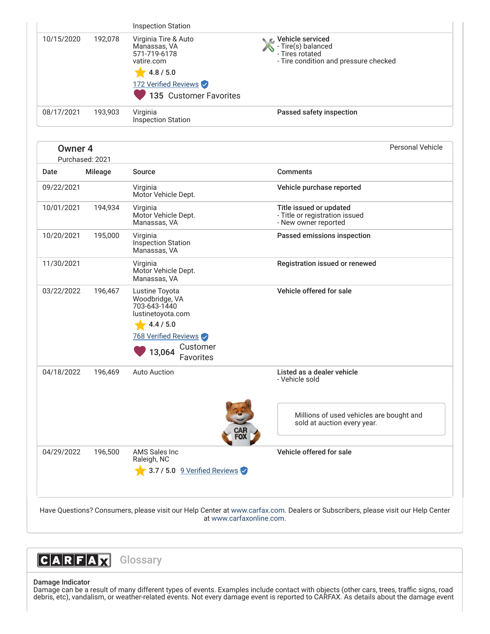|                                       |         | <b>Inspection Station</b>                                                                                                                            |                                                                                                    |
|---------------------------------------|---------|------------------------------------------------------------------------------------------------------------------------------------------------------|----------------------------------------------------------------------------------------------------|
| 10/15/2020                            | 192,078 | Virginia Tire & Auto<br>Manassas, VA<br>571-719-6178<br>vatire.com                                                                                   | Vehicle serviced<br>- Tire(s) balanced<br>- Tires rotated<br>- Tire condition and pressure checked |
|                                       |         | 4.8 / 5.0                                                                                                                                            |                                                                                                    |
|                                       |         | 172 Verified Reviews                                                                                                                                 |                                                                                                    |
|                                       |         | 135 Customer Favorites                                                                                                                               |                                                                                                    |
| 08/17/2021                            | 193,903 | Virginia<br><b>Inspection Station</b>                                                                                                                | Passed safety inspection                                                                           |
| Owner <sub>4</sub><br>Purchased: 2021 |         |                                                                                                                                                      | <b>Personal Vehicle</b>                                                                            |
| Date                                  | Mileage | <b>Source</b>                                                                                                                                        | <b>Comments</b>                                                                                    |
| 09/22/2021                            |         | Virginia<br>Motor Vehicle Dept.                                                                                                                      | Vehicle purchase reported                                                                          |
| 10/01/2021                            | 194,934 | Virginia<br>Motor Vehicle Dept.<br>Manassas, VA                                                                                                      | Title issued or updated<br>- Title or registration issued<br>- New owner reported                  |
| 10/20/2021                            | 195,000 | Virginia<br>Inspection Station<br>Manassas, VA                                                                                                       | Passed emissions inspection                                                                        |
| 11/30/2021                            |         | Virginia<br>Motor Vehicle Dept.<br>Manassas, VA                                                                                                      | Registration issued or renewed                                                                     |
| 03/22/2022                            | 196,467 | Lustine Toyota<br>Woodbridge, VA<br>703-643-1440<br>lustinetoyota.com<br>4.4 / 5.0<br>768 Verified Reviews<br>Customer<br>13,064<br><b>Favorites</b> | Vehicle offered for sale                                                                           |
| 04/18/2022                            | 196,469 | <b>Auto Auction</b>                                                                                                                                  | Listed as a dealer vehicle<br>- Vehicle sold                                                       |
|                                       |         |                                                                                                                                                      | Millions of used vehicles are bought and<br>sold at auction every year.                            |
| 04/29/2022                            | 196,500 | AMS Sales Inc<br>Raleigh, NC                                                                                                                         | Vehicle offered for sale                                                                           |
|                                       |         | 3.7 / 5.0 9 Verified Reviews                                                                                                                         |                                                                                                    |

<span id="page-6-0"></span>at [www.carfaxonline.com.](http://www.carfaxonline.com/)



# Damage Indicator

Damage can be a result of many different types of events. Examples include contact with objects (other cars, trees, traffic signs, road debris, etc), vandalism, or weather-related events. Not every damage event is reported to CARFAX. As details about the damage event